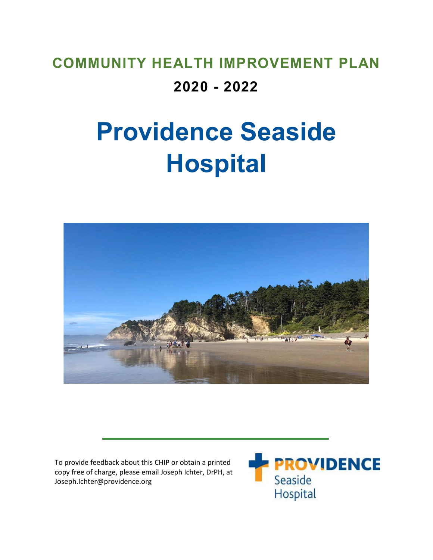# **COMMUNITY HEALTH IMPROVEMENT PLAN 2020 - 2022**

# **Providence Seaside Hospital**



To provide feedback about this CHIP or obtain a printed copy free of charge, please email Joseph Ichter, DrPH, at Joseph.Ichter@providence.org

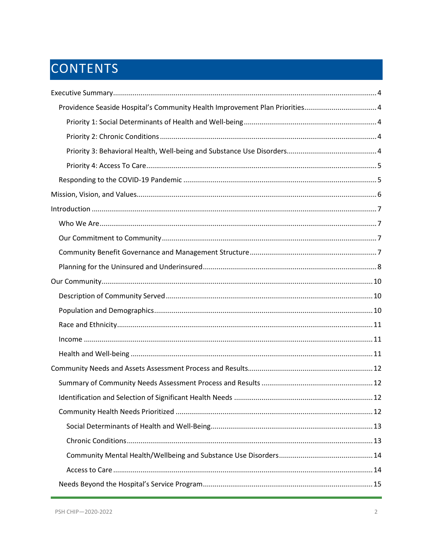# CONTENTS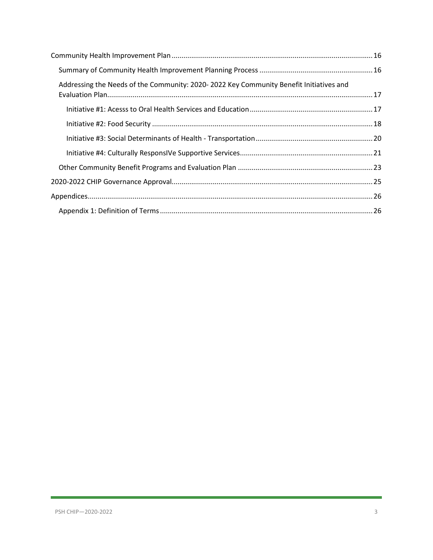| Addressing the Needs of the Community: 2020-2022 Key Community Benefit Initiatives and |  |
|----------------------------------------------------------------------------------------|--|
|                                                                                        |  |
|                                                                                        |  |
|                                                                                        |  |
|                                                                                        |  |
|                                                                                        |  |
|                                                                                        |  |
|                                                                                        |  |
|                                                                                        |  |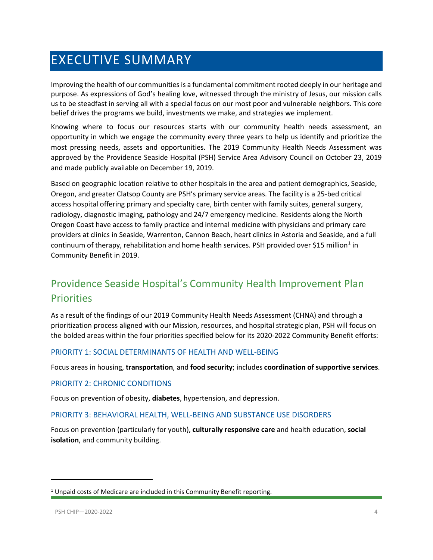# <span id="page-3-0"></span>EXECUTIVE SUMMARY

Improving the health of our communities is a fundamental commitment rooted deeply in our heritage and purpose. As expressions of God's healing love, witnessed through the ministry of Jesus, our mission calls us to be steadfast in serving all with a special focus on our most poor and vulnerable neighbors. This core belief drives the programs we build, investments we make, and strategies we implement.

Knowing where to focus our resources starts with our community health needs assessment, an opportunity in which we engage the community every three years to help us identify and prioritize the most pressing needs, assets and opportunities. The 2019 Community Health Needs Assessment was approved by the Providence Seaside Hospital (PSH) Service Area Advisory Council on October 23, 2019 and made publicly available on December 19, 2019.

Based on geographic location relative to other hospitals in the area and patient demographics, Seaside, Oregon, and greater Clatsop County are PSH's primary service areas. The facility is a 25-bed critical access hospital offering primary and specialty care, birth center with family suites, general surgery, radiology, diagnostic imaging, pathology and 24/7 emergency medicine. Residents along the North Oregon Coast have access to family practice and internal medicine with physicians and primary care providers at clinics in Seaside, Warrenton, Cannon Beach, heart clinics in Astoria and Seaside, and a full continuum of therapy, rehabilitation and home health services. PSH provided over \$15 million<sup>1</sup> in Community Benefit in 2019.

# <span id="page-3-1"></span>Providence Seaside Hospital's Community Health Improvement Plan **Priorities**

As a result of the findings of our 2019 Community Health Needs Assessment (CHNA) and through a prioritization process aligned with our Mission, resources, and hospital strategic plan, PSH will focus on the bolded areas within the four priorities specified below for its 2020-2022 Community Benefit efforts:

#### <span id="page-3-2"></span>PRIORITY 1: SOCIAL DETERMINANTS OF HEALTH AND WELL-BEING

Focus areas in housing, **transportation**, and **food security**; includes **coordination of supportive services**.

#### <span id="page-3-3"></span>PRIORITY 2: CHRONIC CONDITIONS

Focus on prevention of obesity, **diabetes**, hypertension, and depression.

#### <span id="page-3-4"></span>PRIORITY 3: BEHAVIORAL HEALTH, WELL-BEING AND SUBSTANCE USE DISORDERS

Focus on prevention (particularly for youth), **culturally responsive care** and health education, **social isolation**, and community building.

 $\overline{\phantom{a}}$ 

<span id="page-3-5"></span> $1$  Unpaid costs of Medicare are included in this Community Benefit reporting.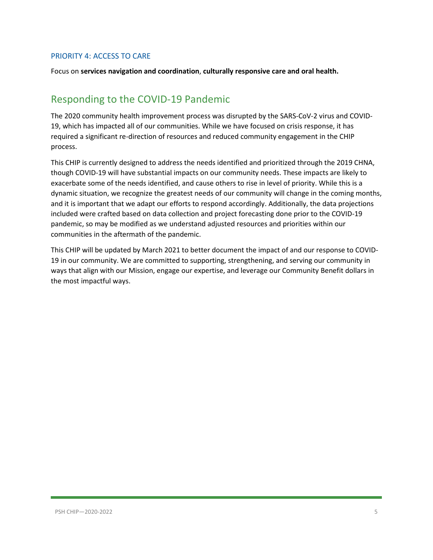#### <span id="page-4-0"></span>PRIORITY 4: ACCESS TO CARE

Focus on **services navigation and coordination**, **culturally responsive care and oral health.**

### <span id="page-4-1"></span>Responding to the COVID-19 Pandemic

The 2020 community health improvement process was disrupted by the SARS-CoV-2 virus and COVID-19, which has impacted all of our communities. While we have focused on crisis response, it has required a significant re-direction of resources and reduced community engagement in the CHIP process.

This CHIP is currently designed to address the needs identified and prioritized through the 2019 CHNA, though COVID-19 will have substantial impacts on our community needs. These impacts are likely to exacerbate some of the needs identified, and cause others to rise in level of priority. While this is a dynamic situation, we recognize the greatest needs of our community will change in the coming months, and it is important that we adapt our efforts to respond accordingly. Additionally, the data projections included were crafted based on data collection and project forecasting done prior to the COVID-19 pandemic, so may be modified as we understand adjusted resources and priorities within our communities in the aftermath of the pandemic.

This CHIP will be updated by March 2021 to better document the impact of and our response to COVID-19 in our community. We are committed to supporting, strengthening, and serving our community in ways that align with our Mission, engage our expertise, and leverage our Community Benefit dollars in the most impactful ways.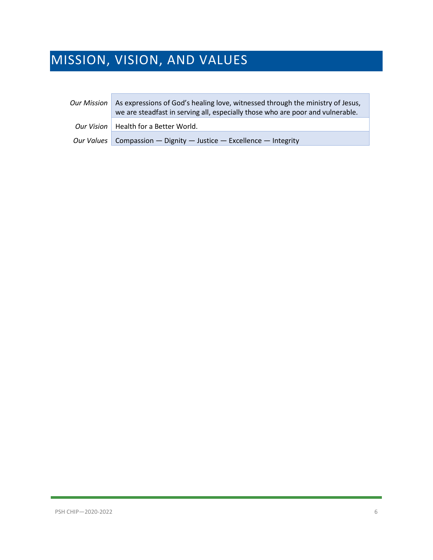# <span id="page-5-0"></span>MISSION, VISION, AND VALUES

| <b>Our Mission</b> | As expressions of God's healing love, witnessed through the ministry of Jesus,<br>we are steadfast in serving all, especially those who are poor and vulnerable. |
|--------------------|------------------------------------------------------------------------------------------------------------------------------------------------------------------|
|                    | Our Vision   Health for a Better World.                                                                                                                          |
|                    | Our Values   Compassion — Dignity — Justice — Excellence — Integrity                                                                                             |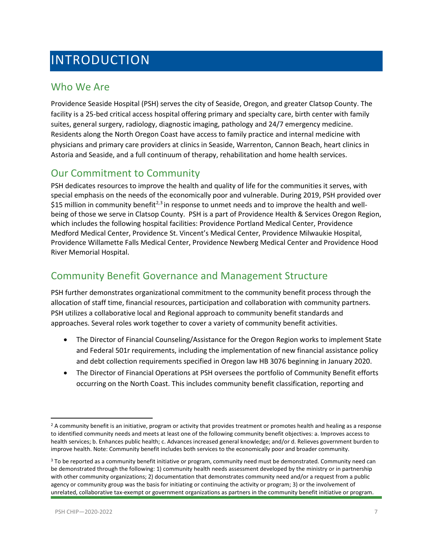# <span id="page-6-0"></span>INTRODUCTION

### <span id="page-6-1"></span>Who We Are

Providence Seaside Hospital (PSH) serves the city of Seaside, Oregon, and greater Clatsop County. The facility is a 25-bed critical access hospital offering primary and specialty care, birth center with family suites, general surgery, radiology, diagnostic imaging, pathology and 24/7 emergency medicine. Residents along the North Oregon Coast have access to family practice and internal medicine with physicians and primary care providers at clinics in Seaside, Warrenton, Cannon Beach, heart clinics in Astoria and Seaside, and a full continuum of therapy, rehabilitation and home health services.

### <span id="page-6-2"></span>Our Commitment to Community

PSH dedicates resources to improve the health and quality of life for the communities it serves, with special emphasis on the needs of the economically poor and vulnerable. During 2019, PSH provided over \$15 million in community benefit<sup>[2](#page-6-4),[3](#page-6-5)</sup> in response to unmet needs and to improve the health and wellbeing of those we serve in Clatsop County. PSH is a part of Providence Health & Services Oregon Region, which includes the following hospital facilities: Providence Portland Medical Center, Providence Medford Medical Center, Providence St. Vincent's Medical Center, Providence Milwaukie Hospital, Providence Willamette Falls Medical Center, Providence Newberg Medical Center and Providence Hood River Memorial Hospital.

### <span id="page-6-3"></span>Community Benefit Governance and Management Structure

PSH further demonstrates organizational commitment to the community benefit process through the allocation of staff time, financial resources, participation and collaboration with community partners. PSH utilizes a collaborative local and Regional approach to community benefit standards and approaches. Several roles work together to cover a variety of community benefit activities.

- The Director of Financial Counseling/Assistance for the Oregon Region works to implement State and Federal 501r requirements, including the implementation of new financial assistance policy and debt collection requirements specified in Oregon law HB 3076 beginning in January 2020.
- The Director of Financial Operations at PSH oversees the portfolio of Community Benefit efforts occurring on the North Coast. This includes community benefit classification, reporting and

<span id="page-6-4"></span><sup>&</sup>lt;sup>2</sup> A community benefit is an initiative, program or activity that provides treatment or promotes health and healing as a response to identified community needs and meets at least one of the following community benefit objectives: a. Improves access to health services; b. Enhances public health; c. Advances increased general knowledge; and/or d. Relieves government burden to improve health. Note: Community benefit includes both services to the economically poor and broader community.

<span id="page-6-5"></span><sup>&</sup>lt;sup>3</sup> To be reported as a community benefit initiative or program, community need must be demonstrated. Community need can be demonstrated through the following: 1) community health needs assessment developed by the ministry or in partnership with other community organizations; 2) documentation that demonstrates community need and/or a request from a public agency or community group was the basis for initiating or continuing the activity or program; 3) or the involvement of unrelated, collaborative tax-exempt or government organizations as partners in the community benefit initiative or program.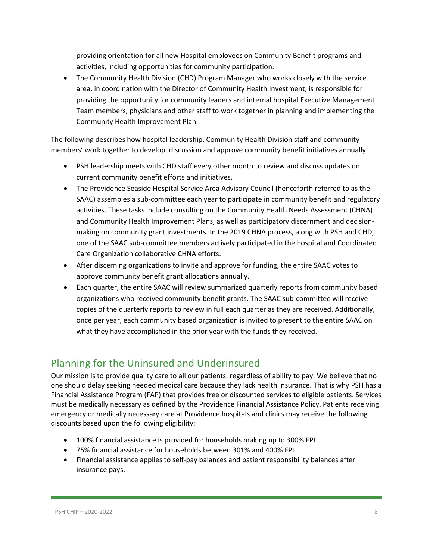providing orientation for all new Hospital employees on Community Benefit programs and activities, including opportunities for community participation.

• The Community Health Division (CHD) Program Manager who works closely with the service area, in coordination with the Director of Community Health Investment, is responsible for providing the opportunity for community leaders and internal hospital Executive Management Team members, physicians and other staff to work together in planning and implementing the Community Health Improvement Plan.

The following describes how hospital leadership, Community Health Division staff and community members' work together to develop, discussion and approve community benefit initiatives annually:

- PSH leadership meets with CHD staff every other month to review and discuss updates on current community benefit efforts and initiatives.
- The Providence Seaside Hospital Service Area Advisory Council (henceforth referred to as the SAAC) assembles a sub-committee each year to participate in community benefit and regulatory activities. These tasks include consulting on the Community Health Needs Assessment (CHNA) and Community Health Improvement Plans, as well as participatory discernment and decisionmaking on community grant investments. In the 2019 CHNA process, along with PSH and CHD, one of the SAAC sub-committee members actively participated in the hospital and Coordinated Care Organization collaborative CHNA efforts.
- After discerning organizations to invite and approve for funding, the entire SAAC votes to approve community benefit grant allocations annually.
- Each quarter, the entire SAAC will review summarized quarterly reports from community based organizations who received community benefit grants. The SAAC sub-committee will receive copies of the quarterly reports to review in full each quarter as they are received. Additionally, once per year, each community based organization is invited to present to the entire SAAC on what they have accomplished in the prior year with the funds they received.

# <span id="page-7-0"></span>Planning for the Uninsured and Underinsured

Our mission is to provide quality care to all our patients, regardless of ability to pay. We believe that no one should delay seeking needed medical care because they lack health insurance. That is why PSH has a Financial Assistance Program (FAP) that provides free or discounted services to eligible patients. Services must be medically necessary as defined by the Providence Financial Assistance Policy. Patients receiving emergency or medically necessary care at Providence hospitals and clinics may receive the following discounts based upon the following eligibility:

- 100% financial assistance is provided for households making up to 300% FPL
- 75% financial assistance for households between 301% and 400% FPL
- Financial assistance applies to self-pay balances and patient responsibility balances after insurance pays.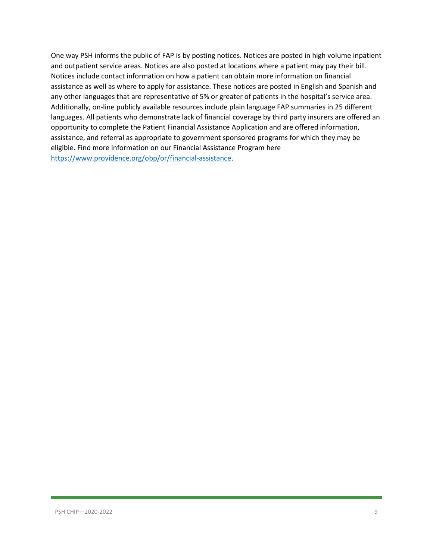One way PSH informs the public of FAP is by posting notices. Notices are posted in high volume inpatient and outpatient service areas. Notices are also posted at locations where a patient may pay their bill. Notices include contact information on how a patient can obtain more information on financial assistance as well as where to apply for assistance. These notices are posted in English and Spanish and any other languages that are representative of 5% or greater of patients in the hospital's service area. Additionally, on-line publicly available resources include plain language FAP summaries in 25 different languages. All patients who demonstrate lack of financial coverage by third party insurers are offered an opportunity to complete the Patient Financial Assistance Application and are offered information, assistance, and referral as appropriate to government sponsored programs for which they may be eligible. Find more information on our Financial Assistance Program here [https://www.providence.org/obp/or/financial-assistance.](https://www.providence.org/obp/or/financial-assistance)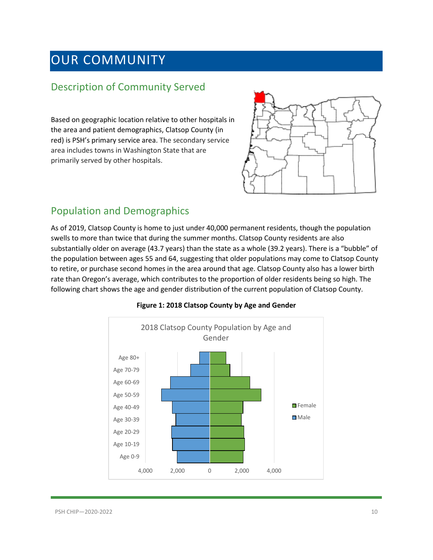# <span id="page-9-0"></span>OUR COMMUNITY

### <span id="page-9-1"></span>Description of Community Served

Based on geographic location relative to other hospitals in the area and patient demographics, Clatsop County (in red) is PSH's primary service area. The secondary service area includes towns in Washington State that are primarily served by other hospitals.



### <span id="page-9-2"></span>Population and Demographics

As of 2019, Clatsop County is home to just under 40,000 permanent residents, though the population swells to more than twice that during the summer months. Clatsop County residents are also substantially older on average (43.7 years) than the state as a whole (39.2 years). There is a "bubble" of the population between ages 55 and 64, suggesting that older populations may come to Clatsop County to retire, or purchase second homes in the area around that age. Clatsop County also has a lower birth rate than Oregon's average, which contributes to the proportion of older residents being so high. The following chart shows the age and gender distribution of the current population of Clatsop County.



#### **Figure 1: 2018 Clatsop County by Age and Gender**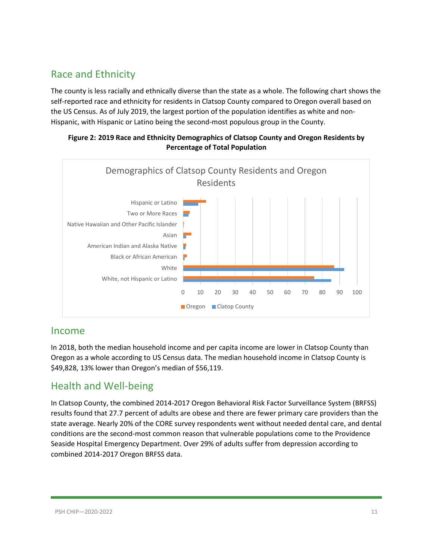### <span id="page-10-0"></span>Race and Ethnicity

The county is less racially and ethnically diverse than the state as a whole. The following chart shows the self-reported race and ethnicity for residents in Clatsop County compared to Oregon overall based on the US Census. As of July 2019, the largest portion of the population identifies as white and non-Hispanic, with Hispanic or Latino being the second-most populous group in the County.

#### **Figure 2: 2019 Race and Ethnicity Demographics of Clatsop County and Oregon Residents by Percentage of Total Population**



#### <span id="page-10-1"></span>Income

In 2018, both the median household income and per capita income are lower in Clatsop County than Oregon as a whole according to US Census data. The median household income in Clatsop County is \$49,828, 13% lower than Oregon's median of \$56,119.

### <span id="page-10-2"></span>Health and Well-being

In Clatsop County, the combined 2014-2017 Oregon Behavioral Risk Factor Surveillance System (BRFSS) results found that 27.7 percent of adults are obese and there are fewer primary care providers than the state average. Nearly 20% of the CORE survey respondents went without needed dental care, and dental conditions are the second-most common reason that vulnerable populations come to the Providence Seaside Hospital Emergency Department. Over 29% of adults suffer from depression according to combined 2014-2017 Oregon BRFSS data.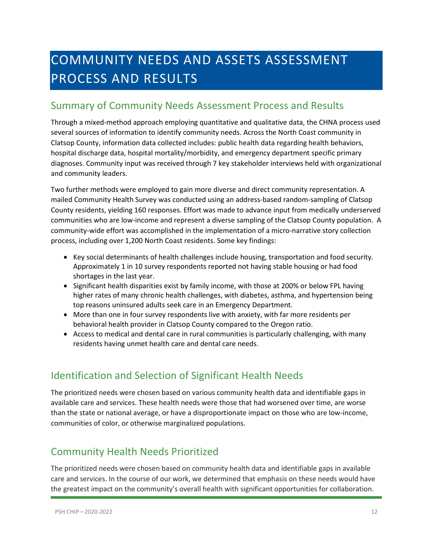# <span id="page-11-0"></span>COMMUNITY NEEDS AND ASSETS ASSESSMENT PROCESS AND RESULTS

### <span id="page-11-1"></span>Summary of Community Needs Assessment Process and Results

Through a mixed-method approach employing quantitative and qualitative data, the CHNA process used several sources of information to identify community needs. Across the North Coast community in Clatsop County, information data collected includes: public health data regarding health behaviors, hospital discharge data, hospital mortality/morbidity, and emergency department specific primary diagnoses. Community input was received through 7 key stakeholder interviews held with organizational and community leaders.

Two further methods were employed to gain more diverse and direct community representation. A mailed Community Health Survey was conducted using an address-based random-sampling of Clatsop County residents, yielding 160 responses. Effort was made to advance input from medically underserved communities who are low-income and represent a diverse sampling of the Clatsop County population. A community-wide effort was accomplished in the implementation of a micro-narrative story collection process, including over 1,200 North Coast residents. Some key findings:

- Key social determinants of health challenges include housing, transportation and food security. Approximately 1 in 10 survey respondents reported not having stable housing or had food shortages in the last year.
- Significant health disparities exist by family income, with those at 200% or below FPL having higher rates of many chronic health challenges, with diabetes, asthma, and hypertension being top reasons uninsured adults seek care in an Emergency Department.
- More than one in four survey respondents live with anxiety, with far more residents per behavioral health provider in Clatsop County compared to the Oregon ratio.
- Access to medical and dental care in rural communities is particularly challenging, with many residents having unmet health care and dental care needs.

# <span id="page-11-2"></span>Identification and Selection of Significant Health Needs

The prioritized needs were chosen based on various community health data and identifiable gaps in available care and services. These health needs were those that had worsened over time, are worse than the state or national average, or have a disproportionate impact on those who are low-income, communities of color, or otherwise marginalized populations.

# <span id="page-11-3"></span>Community Health Needs Prioritized

The prioritized needs were chosen based on community health data and identifiable gaps in available care and services. In the course of our work, we determined that emphasis on these needs would have the greatest impact on the community's overall health with significant opportunities for collaboration.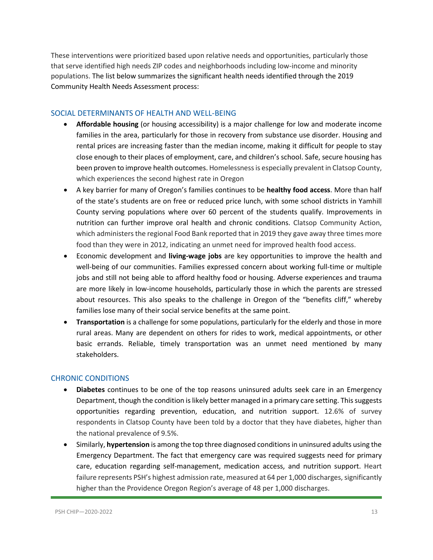These interventions were prioritized based upon relative needs and opportunities, particularly those that serve identified high needs ZIP codes and neighborhoods including low-income and minority populations. The list below summarizes the significant health needs identified through the 2019 Community Health Needs Assessment process:

#### <span id="page-12-0"></span>SOCIAL DETERMINANTS OF HEALTH AND WELL-BEING

- **Affordable housing** (or housing accessibility) is a major challenge for low and moderate income families in the area, particularly for those in recovery from substance use disorder. Housing and rental prices are increasing faster than the median income, making it difficult for people to stay close enough to their places of employment, care, and children's school. Safe, secure housing has been proven to improve health outcomes. Homelessness is especially prevalent in Clatsop County, which experiences the second highest rate in Oregon
- A key barrier for many of Oregon's families continues to be **healthy food access**. More than half of the state's students are on free or reduced price lunch, with some school districts in Yamhill County serving populations where over 60 percent of the students qualify. Improvements in nutrition can further improve oral health and chronic conditions. Clatsop Community Action, which administers the regional Food Bank reported that in 2019 they gave away three times more food than they were in 2012, indicating an unmet need for improved health food access.
- Economic development and **living-wage jobs** are key opportunities to improve the health and well-being of our communities. Families expressed concern about working full-time or multiple jobs and still not being able to afford healthy food or housing. Adverse experiences and trauma are more likely in low-income households, particularly those in which the parents are stressed about resources. This also speaks to the challenge in Oregon of the "benefits cliff," whereby families lose many of their social service benefits at the same point.
- **Transportation** is a challenge for some populations, particularly for the elderly and those in more rural areas. Many are dependent on others for rides to work, medical appointments, or other basic errands. Reliable, timely transportation was an unmet need mentioned by many stakeholders.

#### <span id="page-12-1"></span>CHRONIC CONDITIONS

- **Diabetes** continues to be one of the top reasons uninsured adults seek care in an Emergency Department, though the condition is likely better managed in a primary care setting. This suggests opportunities regarding prevention, education, and nutrition support. 12.6% of survey respondents in Clatsop County have been told by a doctor that they have diabetes, higher than the national prevalence of 9.5%.
- Similarly, **hypertension** is among the top three diagnosed conditions in uninsured adults using the Emergency Department. The fact that emergency care was required suggests need for primary care, education regarding self-management, medication access, and nutrition support. Heart failure represents PSH's highest admission rate, measured at 64 per 1,000 discharges, significantly higher than the Providence Oregon Region's average of 48 per 1,000 discharges.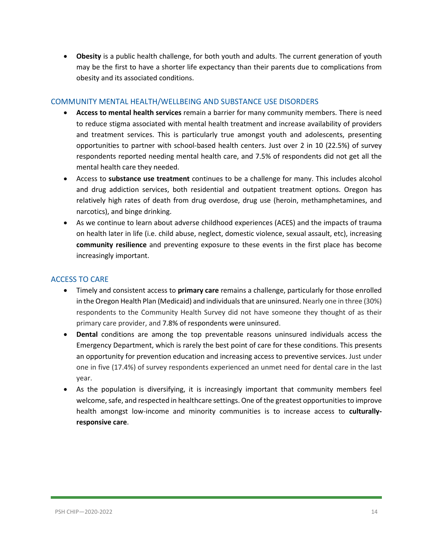• **Obesity** is a public health challenge, for both youth and adults. The current generation of youth may be the first to have a shorter life expectancy than their parents due to complications from obesity and its associated conditions.

#### <span id="page-13-0"></span>COMMUNITY MENTAL HEALTH/WELLBEING AND SUBSTANCE USE DISORDERS

- **Access to mental health services** remain a barrier for many community members. There is need to reduce stigma associated with mental health treatment and increase availability of providers and treatment services. This is particularly true amongst youth and adolescents, presenting opportunities to partner with school-based health centers. Just over 2 in 10 (22.5%) of survey respondents reported needing mental health care, and 7.5% of respondents did not get all the mental health care they needed.
- Access to **substance use treatment** continues to be a challenge for many. This includes alcohol and drug addiction services, both residential and outpatient treatment options. Oregon has relatively high rates of death from drug overdose, drug use (heroin, methamphetamines, and narcotics), and binge drinking.
- As we continue to learn about adverse childhood experiences (ACES) and the impacts of trauma on health later in life (i.e. child abuse, neglect, domestic violence, sexual assault, etc), increasing **community resilience** and preventing exposure to these events in the first place has become increasingly important.

#### <span id="page-13-1"></span>ACCESS TO CARE

- Timely and consistent access to **primary care** remains a challenge, particularly for those enrolled in the Oregon Health Plan (Medicaid) and individuals that are uninsured. Nearly one in three (30%) respondents to the Community Health Survey did not have someone they thought of as their primary care provider, and 7.8% of respondents were uninsured.
- **Dental** conditions are among the top preventable reasons uninsured individuals access the Emergency Department, which is rarely the best point of care for these conditions. This presents an opportunity for prevention education and increasing access to preventive services. Just under one in five (17.4%) of survey respondents experienced an unmet need for dental care in the last year.
- As the population is diversifying, it is increasingly important that community members feel welcome, safe, and respected in healthcare settings. One of the greatest opportunities to improve health amongst low-income and minority communities is to increase access to **culturallyresponsive care**.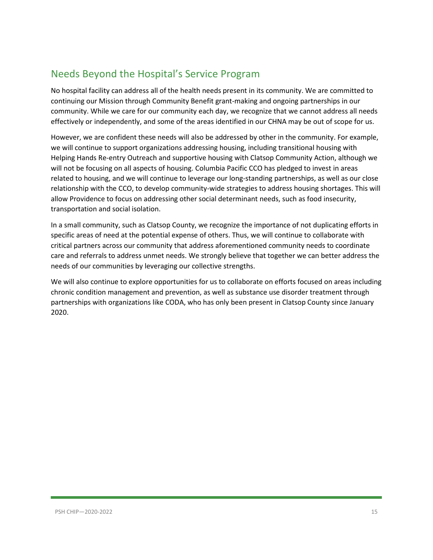# <span id="page-14-0"></span>Needs Beyond the Hospital's Service Program

No hospital facility can address all of the health needs present in its community. We are committed to continuing our Mission through Community Benefit grant-making and ongoing partnerships in our community. While we care for our community each day, we recognize that we cannot address all needs effectively or independently, and some of the areas identified in our CHNA may be out of scope for us.

However, we are confident these needs will also be addressed by other in the community. For example, we will continue to support organizations addressing housing, including transitional housing with Helping Hands Re-entry Outreach and supportive housing with Clatsop Community Action, although we will not be focusing on all aspects of housing. Columbia Pacific CCO has pledged to invest in areas related to housing, and we will continue to leverage our long-standing partnerships, as well as our close relationship with the CCO, to develop community-wide strategies to address housing shortages. This will allow Providence to focus on addressing other social determinant needs, such as food insecurity, transportation and social isolation.

In a small community, such as Clatsop County, we recognize the importance of not duplicating efforts in specific areas of need at the potential expense of others. Thus, we will continue to collaborate with critical partners across our community that address aforementioned community needs to coordinate care and referrals to address unmet needs. We strongly believe that together we can better address the needs of our communities by leveraging our collective strengths.

We will also continue to explore opportunities for us to collaborate on efforts focused on areas including chronic condition management and prevention, as well as substance use disorder treatment through partnerships with organizations like CODA, who has only been present in Clatsop County since January 2020.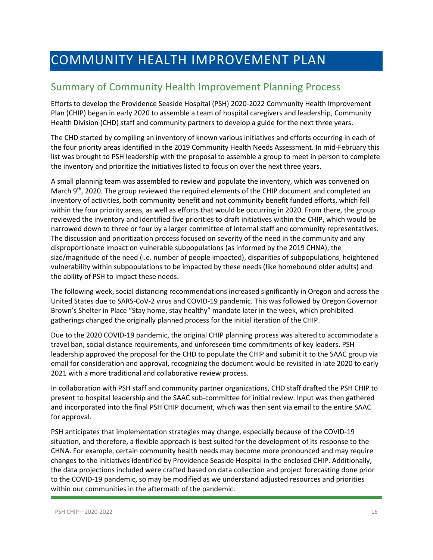# <span id="page-15-0"></span>COMMUNITY HEALTH IMPROVEMENT PLAN

### <span id="page-15-1"></span>Summary of Community Health Improvement Planning Process

Efforts to develop the Providence Seaside Hospital (PSH) 2020-2022 Community Health Improvement Plan (CHIP) began in early 2020 to assemble a team of hospital caregivers and leadership, Community Health Division (CHD) staff and community partners to develop a guide for the next three years.

The CHD started by compiling an inventory of known various initiatives and efforts occurring in each of the four priority areas identified in the 2019 Community Health Needs Assessment. In mid-February this list was brought to PSH leadership with the proposal to assemble a group to meet in person to complete the inventory and prioritize the initiatives listed to focus on over the next three years.

A small planning team was assembled to review and populate the inventory, which was convened on March  $9<sup>th</sup>$ , 2020. The group reviewed the required elements of the CHIP document and completed an inventory of activities, both community benefit and not community benefit funded efforts, which fell within the four priority areas, as well as efforts that would be occurring in 2020. From there, the group reviewed the inventory and identified five priorities to draft initiatives within the CHIP, which would be narrowed down to three or four by a larger committee of internal staff and community representatives. The discussion and prioritization process focused on severity of the need in the community and any disproportionate impact on vulnerable subpopulations (as informed by the 2019 CHNA), the size/magnitude of the need (i.e. number of people impacted), disparities of subpopulations, heightened vulnerability within subpopulations to be impacted by these needs (like homebound older adults) and the ability of PSH to impact these needs.

The following week, social distancing recommendations increased significantly in Oregon and across the United States due to SARS-CoV-2 virus and COVID-19 pandemic. This was followed by Oregon Governor Brown's Shelter in Place "Stay home, stay healthy" mandate later in the week, which prohibited gatherings changed the originally planned process for the initial iteration of the CHIP.

Due to the 2020 COVID-19 pandemic, the original CHIP planning process was altered to accommodate a travel ban, social distance requirements, and unforeseen time commitments of key leaders. PSH leadership approved the proposal for the CHD to populate the CHIP and submit it to the SAAC group via email for consideration and approval, recognizing the document would be revisited in late 2020 to early 2021 with a more traditional and collaborative review process.

In collaboration with PSH staff and community partner organizations, CHD staff drafted the PSH CHIP to present to hospital leadership and the SAAC sub-committee for initial review. Input was then gathered and incorporated into the final PSH CHIP document, which was then sent via email to the entire SAAC for approval.

PSH anticipates that implementation strategies may change, especially because of the COVID-19 situation, and therefore, a flexible approach is best suited for the development of its response to the CHNA. For example, certain community health needs may become more pronounced and may require changes to the initiatives identified by Providence Seaside Hospital in the enclosed CHIP. Additionally, the data projections included were crafted based on data collection and project forecasting done prior to the COVID-19 pandemic, so may be modified as we understand adjusted resources and priorities within our communities in the aftermath of the pandemic.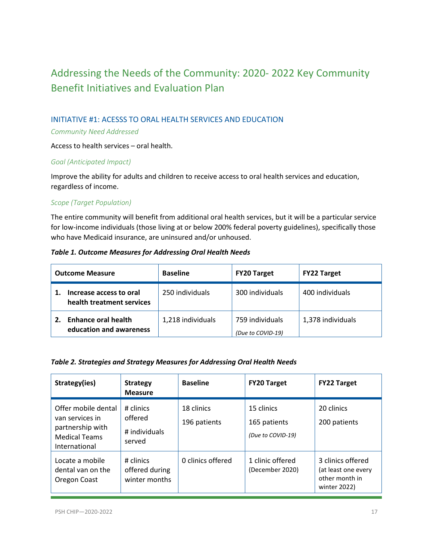# <span id="page-16-0"></span>Addressing the Needs of the Community: 2020- 2022 Key Community Benefit Initiatives and Evaluation Plan

#### <span id="page-16-1"></span>INITIATIVE #1: ACESSS TO ORAL HEALTH SERVICES AND EDUCATION

#### *Community Need Addressed*

Access to health services – oral health.

#### *Goal (Anticipated Impact)*

Improve the ability for adults and children to receive access to oral health services and education, regardless of income.

#### *Scope (Target Population)*

The entire community will benefit from additional oral health services, but it will be a particular service for low-income individuals (those living at or below 200% federal poverty guidelines), specifically those who have Medicaid insurance, are uninsured and/or unhoused.

#### *Table 1. Outcome Measures for Addressing Oral Health Needs*

| <b>Outcome Measure</b>                                      |  | <b>Baseline</b>   | <b>FY20 Target</b>                   | <b>FY22 Target</b> |  |
|-------------------------------------------------------------|--|-------------------|--------------------------------------|--------------------|--|
| Increase access to oral<br>health treatment services        |  | 250 individuals   | 300 individuals                      | 400 individuals    |  |
| <b>Enhance oral health</b><br>2.<br>education and awareness |  | 1,218 individuals | 759 individuals<br>(Due to COVID-19) | 1,378 individuals  |  |

#### *Table 2. Strategies and Strategy Measures for Addressing Oral Health Needs*

| Strategy(ies)                                                                                       | <b>Strategy</b><br><b>Measure</b>               | <b>Baseline</b>            | <b>FY20 Target</b>                              | <b>FY22 Target</b>                                                         |
|-----------------------------------------------------------------------------------------------------|-------------------------------------------------|----------------------------|-------------------------------------------------|----------------------------------------------------------------------------|
| Offer mobile dental<br>van services in<br>partnership with<br><b>Medical Teams</b><br>International | # clinics<br>offered<br># individuals<br>served | 18 clinics<br>196 patients | 15 clinics<br>165 patients<br>(Due to COVID-19) | 20 clinics<br>200 patients                                                 |
| Locate a mobile<br>dental van on the<br>Oregon Coast                                                | # clinics<br>offered during<br>winter months    | 0 clinics offered          | 1 clinic offered<br>(December 2020)             | 3 clinics offered<br>(at least one every<br>other month in<br>winter 2022) |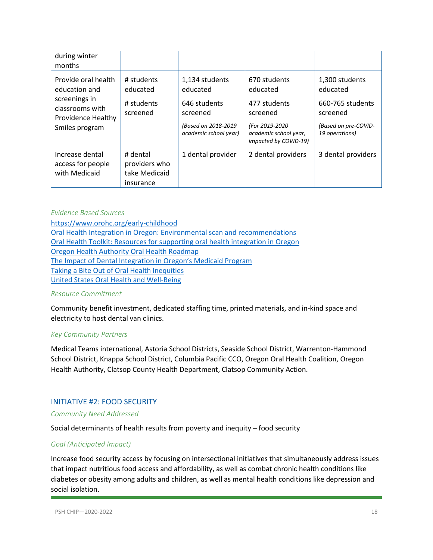| during winter<br>months                                 |                                                         |                                                           |                                                                              |                                                    |
|---------------------------------------------------------|---------------------------------------------------------|-----------------------------------------------------------|------------------------------------------------------------------------------|----------------------------------------------------|
| Provide oral health<br>education and<br>screenings in   | # students<br>educated<br># students                    | 1,134 students<br>educated<br>646 students                | 670 students<br>educated<br>477 students                                     | 1,300 students<br>educated<br>660-765 students     |
| classrooms with<br>Providence Healthy<br>Smiles program | screened                                                | screened<br>(Based on 2018-2019)<br>academic school year) | screened<br>(For 2019-2020<br>academic school year,<br>impacted by COVID-19) | screened<br>(Based on pre-COVID-<br>19 operations) |
| Increase dental<br>access for people<br>with Medicaid   | # dental<br>providers who<br>take Medicaid<br>insurance | 1 dental provider                                         | 2 dental providers                                                           | 3 dental providers                                 |

#### *Evidence Based Sources*

<https://www.orohc.org/early-childhood> [Oral Health Integration in Oregon: Environmental scan and recommendations](https://static1.squarespace.com/static/554bd5a0e4b06ed592559a39/t/58e80478414fb5fb3ee50499/1491600521021/Oral+Health+Integration+in+Oregon-+Environmental+Scan+and+Recommendations.pdf) Oral Health Toolkit: Resources for supporting oral health integration in Oregon [Oregon Health Authority Oral Health Roadmap](https://www.orohc.org/s/Oregon-Health-Authority-Oral-Health-Roadmap.pdf) [The Impact of Dental Integration in Oregon's Medicaid Program](https://static1.squarespace.com/static/554bd5a0e4b06ed592559a39/t/58e8059d6b8f5b9375c50000/1491600802050/Impact+of+Dental+Integration+in+Oregon+Medicaid.pdf)  [Taking a Bite Out of Oral Health Inequities](https://static1.squarespace.com/static/554bd5a0e4b06ed592559a39/t/56982f6fc21b861954574765/1452814192725/Taking+a+Bite+Out+of+Oral+Health+Inequities.pdf) [United States Oral Health and Well-Being](https://static1.squarespace.com/static/554bd5a0e4b06ed592559a39/t/576c20ad440243decaa875d9/1466704051215/US-Oral-Health-Well-Being.pdf)

#### *Resource Commitment*

Community benefit investment, dedicated staffing time, printed materials, and in-kind space and electricity to host dental van clinics.

#### *Key Community Partners*

Medical Teams international, Astoria School Districts, Seaside School District, Warrenton-Hammond School District, Knappa School District, Columbia Pacific CCO, Oregon Oral Health Coalition, Oregon Health Authority, Clatsop County Health Department, Clatsop Community Action.

#### <span id="page-17-0"></span>INITIATIVE #2: FOOD SECURITY

#### *Community Need Addressed*

Social determinants of health results from poverty and inequity – food security

#### *Goal (Anticipated Impact)*

Increase food security access by focusing on intersectional initiatives that simultaneously address issues that impact nutritious food access and affordability, as well as combat chronic health conditions like diabetes or obesity among adults and children, as well as mental health conditions like depression and social isolation.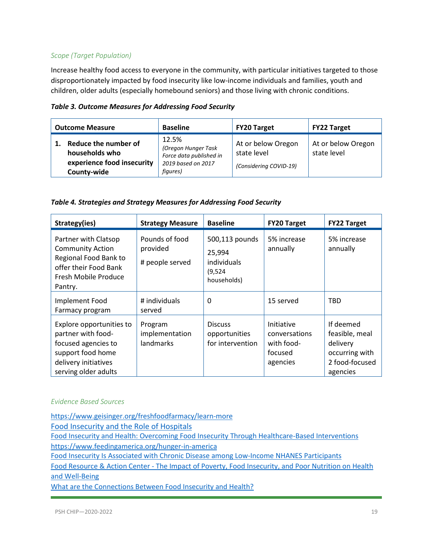#### *Scope (Target Population)*

Increase healthy food access to everyone in the community, with particular initiatives targeted to those disproportionately impacted by food insecurity like low-income individuals and families, youth and children, older adults (especially homebound seniors) and those living with chronic conditions.

| Table 3. Outcome Measures for Addressing Food Security |  |  |  |  |  |  |  |  |  |
|--------------------------------------------------------|--|--|--|--|--|--|--|--|--|
|--------------------------------------------------------|--|--|--|--|--|--|--|--|--|

| <b>Outcome Measure</b>                                                              | <b>Baseline</b>                                                                           | <b>FY20 Target</b>                                          | <b>FY22 Target</b>                |
|-------------------------------------------------------------------------------------|-------------------------------------------------------------------------------------------|-------------------------------------------------------------|-----------------------------------|
| Reduce the number of<br>households who<br>experience food insecurity<br>County-wide | 12.5%<br>(Oregon Hunger Task<br>Force data published in<br>2019 based on 2017<br>figures) | At or below Oregon<br>state level<br>(Considering COVID-19) | At or below Oregon<br>state level |

| Table 4. Strategies and Strategy Measures for Addressing Food Security |  |
|------------------------------------------------------------------------|--|
|------------------------------------------------------------------------|--|

| Strategy(ies)                                                                                                                              | <b>Strategy Measure</b>                       | <b>Baseline</b>                                                    | <b>FY20 Target</b>                                               | <b>FY22 Target</b>                                                                      |
|--------------------------------------------------------------------------------------------------------------------------------------------|-----------------------------------------------|--------------------------------------------------------------------|------------------------------------------------------------------|-----------------------------------------------------------------------------------------|
| Partner with Clatsop<br><b>Community Action</b><br>Regional Food Bank to<br>offer their Food Bank<br>Fresh Mobile Produce<br>Pantry.       | Pounds of food<br>provided<br># people served | 500,113 pounds<br>25,994<br>individuals<br>(9, 524)<br>households) | 5% increase<br>annually                                          | 5% increase<br>annually                                                                 |
| Implement Food<br>Farmacy program                                                                                                          | # individuals<br>served                       | $\Omega$                                                           | 15 served                                                        | <b>TBD</b>                                                                              |
| Explore opportunities to<br>partner with food-<br>focused agencies to<br>support food home<br>delivery initiatives<br>serving older adults | Program<br>implementation<br>landmarks        | <b>Discuss</b><br>opportunities<br>for intervention                | Initiative<br>conversations<br>with food-<br>focused<br>agencies | If deemed<br>feasible, meal<br>delivery<br>occurring with<br>2 food-focused<br>agencies |

#### *Evidence Based Sources*

<https://www.geisinger.org/freshfoodfarmacy/learn-more>

[Food Insecurity and the Role of Hospitals](https://www.aha.org/system/files/hpoe/Reports-HPOE/2017/determinants-health-food-insecurity-role-of-hospitals.pdf)

[Food Insecurity and Health: Overcoming Food Insecurity Through Healthcare-Based Interventions](https://store.qualityforum.org/products/food-insecurity-and-health-overcoming-food-insecurity-through-healthcare-based-interventions) <https://www.feedingamerica.org/hunger-in-america>

[Food Insecurity Is Associated with Chronic Disease among Low-Income NHANES Participants](https://www.ncbi.nlm.nih.gov/pmc/articles/PMC2806885/)

Food Resource & Action Center - [The Impact of Poverty, Food Insecurity, and Poor Nutrition on Health](https://frac.org/wp-content/uploads/hunger-health-impact-poverty-food-insecurity-health-well-being.pdf)  [and Well-Being](https://frac.org/wp-content/uploads/hunger-health-impact-poverty-food-insecurity-health-well-being.pdf)

[What are the Connections Between Food Insecurity and Health?](https://hungerandhealth.feedingamerica.org/understand-food-insecurity/hunger-health-101/)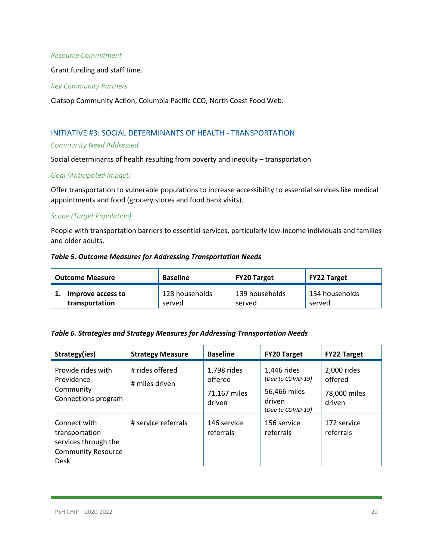#### *Resource Commitment*

Grant funding and staff time.

#### *Key Community Partners*

Clatsop Community Action, Columbia Pacific CCO, North Coast Food Web.

#### <span id="page-19-0"></span>INITIATIVE #3: SOCIAL DETERMINANTS OF HEALTH - TRANSPORTATION

#### *Community Need Addressed*

Social determinants of health resulting from poverty and inequity – transportation

#### *Goal (Anticipated Impact)*

Offer transportation to vulnerable populations to increase accessibility to essential services like medical appointments and food (grocery stores and food bank visits).

#### *Scope (Target Population)*

People with transportation barriers to essential services, particularly low-income individuals and families and older adults.

#### *Table 5. Outcome Measures for Addressing Transportation Needs*

| <b>Outcome Measure</b> | <b>Baseline</b> | FY20 Target                 | <b>FY22 Target</b> |
|------------------------|-----------------|-----------------------------|--------------------|
| Improve access to      | 128 households  | <sup>1</sup> 139 households | 154 households     |
| transportation         | served          | served                      | served             |

#### *Table 6. Strategies and Strategy Measures for Addressing Transportation Needs*

| Strategy(ies)                                                                                      | <b>Strategy Measure</b>           | <b>Baseline</b>                                  | <b>FY20 Target</b>                                                              | <b>FY22 Target</b>                               |
|----------------------------------------------------------------------------------------------------|-----------------------------------|--------------------------------------------------|---------------------------------------------------------------------------------|--------------------------------------------------|
| Provide rides with<br>Providence<br>Community<br>Connections program                               | # rides offered<br># miles driven | 1,798 rides<br>offered<br>71,167 miles<br>driven | 1,446 rides<br>(Due to COVID-19)<br>56,466 miles<br>driven<br>(Due to COVID-19) | 2,000 rides<br>offered<br>78,000 miles<br>driven |
| Connect with<br>transportation<br>services through the<br><b>Community Resource</b><br><b>Desk</b> | # service referrals               | 146 service<br>referrals                         | 156 service<br>referrals                                                        | 172 service<br>referrals                         |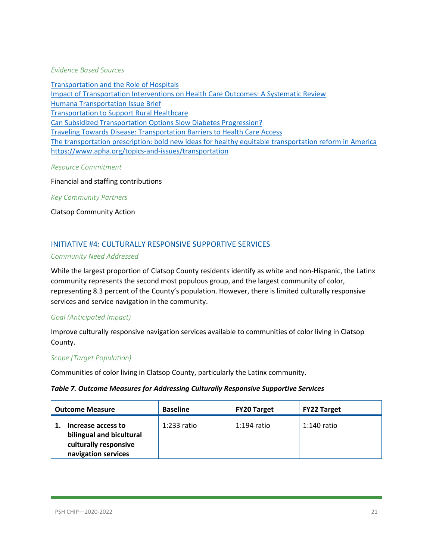#### *Evidence Based Sources*

[Transportation and the Role of Hospitals](http://www.hpoe.org/Reports-HPOE/2017/sdoh-transportation-role-of-hospitals.pdf) [Impact of Transportation Interventions on Health Care Outcomes: A Systematic Review](https://www.ncbi.nlm.nih.gov/pubmed/31985588) [Humana Transportation Issue Brief](https://populationhealth.humana.com/wp-content/uploads/2019/08/BG_Transportation-Issue-Brief_1Q2019_EXTERNAL.pdf) [Transportation to Support Rural Healthcare](https://www.ruralhealthinfo.org/topics/transportation) [Can Subsidized Transportation Options Slow Diabetes Progression?](http://systemsforaction.org/projects/can-subsidized-transportation-options-slow-diabetes-progression/meetings/webinar-can-subsidized-transportation-options-slow-diabetes-progression) [Traveling Towards Disease: Transportation Barriers to Health Care Access](https://www.ncbi.nlm.nih.gov/pmc/articles/PMC4265215/) [The transportation prescription: bold new ideas for healthy equitable transportation reform in America](http://www.convergencepartnership.org/atf/cf/%7B245a9b44-6ded-4abd-a392-ae583809e350%7D/TRANSPORTATIONRX.PDF) <https://www.apha.org/topics-and-issues/transportation>

#### *Resource Commitment*

Financial and staffing contributions

*Key Community Partners*

Clatsop Community Action

#### <span id="page-20-0"></span>INITIATIVE #4: CULTURALLY RESPONSIVE SUPPORTIVE SERVICES

#### *Community Need Addressed*

While the largest proportion of Clatsop County residents identify as white and non-Hispanic, the Latinx community represents the second most populous group, and the largest community of color, representing 8.3 percent of the County's population. However, there is limited culturally responsive services and service navigation in the community.

#### *Goal (Anticipated Impact)*

Improve culturally responsive navigation services available to communities of color living in Clatsop County.

#### *Scope (Target Population)*

Communities of color living in Clatsop County, particularly the Latinx community.

#### *Table 7. Outcome Measures for Addressing Culturally Responsive Supportive Services*

| <b>Outcome Measure</b>                                                                         | <b>Baseline</b> | <b>FY20 Target</b> | <b>FY22 Target</b> |
|------------------------------------------------------------------------------------------------|-----------------|--------------------|--------------------|
| Increase access to<br>bilingual and bicultural<br>culturally responsive<br>navigation services | 1:233 ratio     | $1:194$ ratio      | $1:140$ ratio      |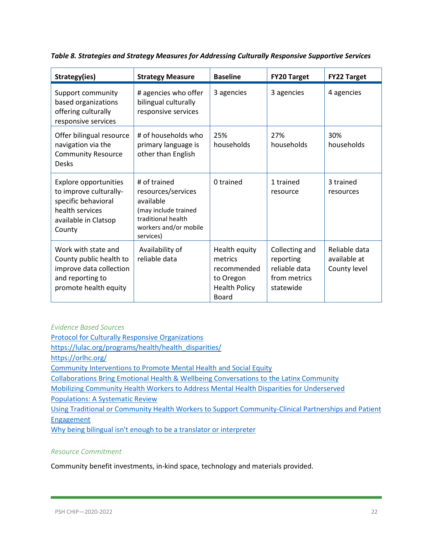| Strategy(ies)                                                                                                                      | <b>Strategy Measure</b>                                                                                                             | <b>Baseline</b>                                                                              | <b>FY20 Target</b>                                                        | <b>FY22 Target</b>                            |
|------------------------------------------------------------------------------------------------------------------------------------|-------------------------------------------------------------------------------------------------------------------------------------|----------------------------------------------------------------------------------------------|---------------------------------------------------------------------------|-----------------------------------------------|
| Support community<br>based organizations<br>offering culturally<br>responsive services                                             | # agencies who offer<br>bilingual culturally<br>responsive services                                                                 | 3 agencies                                                                                   | 3 agencies                                                                | 4 agencies                                    |
| Offer bilingual resource<br>navigation via the<br><b>Community Resource</b><br>Desks                                               | # of households who<br>primary language is<br>other than English                                                                    | 25%<br>households                                                                            | 27%<br>households                                                         | 30%<br>households                             |
| <b>Explore opportunities</b><br>to improve culturally-<br>specific behavioral<br>health services<br>available in Clatsop<br>County | # of trained<br>resources/services<br>available<br>(may include trained<br>traditional health<br>workers and/or mobile<br>services) | 0 trained                                                                                    | 1 trained<br>resource                                                     | 3 trained<br>resources                        |
| Work with state and<br>County public health to<br>improve data collection<br>and reporting to<br>promote health equity             | Availability of<br>reliable data                                                                                                    | Health equity<br>metrics<br>recommended<br>to Oregon<br><b>Health Policy</b><br><b>Board</b> | Collecting and<br>reporting<br>reliable data<br>from metrics<br>statewide | Reliable data<br>available at<br>County level |

*Table 8. Strategies and Strategy Measures for Addressing Culturally Responsive Supportive Services*

*Evidence Based Sources*

[Protocol for Culturally Responsive Organizations](https://www.oregon.gov/ohcs/OSHC/docs/HSC-2016/030416_HSC_LIFT_CARE-report.pdf)

[https://lulac.org/programs/health/health\\_disparities/](https://lulac.org/programs/health/health_disparities/)

<https://orlhc.org/>

[Community Interventions to Promote Mental Health and Social Equity](https://www.ncbi.nlm.nih.gov/pmc/articles/PMC6440941/)

[Collaborations Bring Emotional Health & Wellbeing Conversations to the Latinx Community](https://www.nwrpca.org/news/494054/Collaborations-Bring-Emotional-Health--Wellbeing-Conversations-to-the-Latinx-Community.htm)

Mobilizing [Community Health Workers to Address Mental Health Disparities for Underserved](https://www.ncbi.nlm.nih.gov/pmc/articles/PMC5803443/) 

[Populations: A Systematic Review](https://www.ncbi.nlm.nih.gov/pmc/articles/PMC5803443/)

[Using Traditional or Community Health Workers to Support Community-Clinical Partnerships and Patient](https://healthinsight.org/tools-and-resources/send/342-community-health-workers-for-community-clinical-partnerships-and-patient-engagement-july-19-2017/1144-using-traditional-or-community-health-workers-to-support-community-clinical-partnerships-and-patient-engagement-presentation-slides)  **[Engagement](https://healthinsight.org/tools-and-resources/send/342-community-health-workers-for-community-clinical-partnerships-and-patient-engagement-july-19-2017/1144-using-traditional-or-community-health-workers-to-support-community-clinical-partnerships-and-patient-engagement-presentation-slides)** 

[Why being bilingual isn't enough to be a translator or interpreter](https://www.altalang.com/beyond-words/why-being-bilingual-isnt-enough-to-be-a-translator-or-interpreter/)

#### *Resource Commitment*

Community benefit investments, in-kind space, technology and materials provided.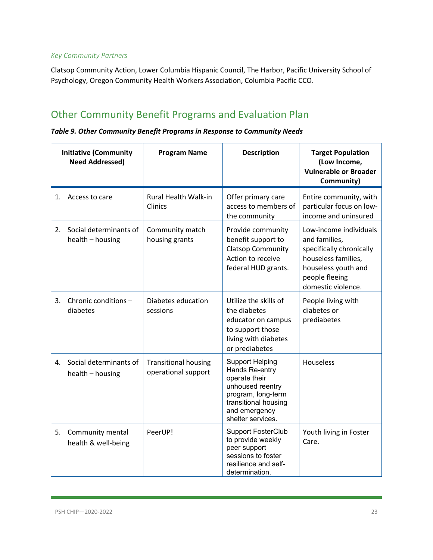#### *Key Community Partners*

Clatsop Community Action, Lower Columbia Hispanic Council, The Harbor, Pacific University School of Psychology, Oregon Community Health Workers Association, Columbia Pacific CCO.

# <span id="page-22-0"></span>Other Community Benefit Programs and Evaluation Plan

|  |  |  |  |  |  | Table 9. Other Community Benefit Programs in Response to Community Needs |  |
|--|--|--|--|--|--|--------------------------------------------------------------------------|--|
|--|--|--|--|--|--|--------------------------------------------------------------------------|--|

| <b>Initiative (Community</b><br><b>Need Addressed)</b> |                                            | <b>Program Name</b>                                | <b>Description</b>                                                                                                                                                | <b>Target Population</b><br>(Low Income,<br><b>Vulnerable or Broader</b><br>Community)                                                                    |  |
|--------------------------------------------------------|--------------------------------------------|----------------------------------------------------|-------------------------------------------------------------------------------------------------------------------------------------------------------------------|-----------------------------------------------------------------------------------------------------------------------------------------------------------|--|
| 1.                                                     | Access to care                             | <b>Rural Health Walk-in</b><br>Clinics             | Offer primary care<br>access to members of<br>the community                                                                                                       | Entire community, with<br>particular focus on low-<br>income and uninsured                                                                                |  |
| 2.                                                     | Social determinants of<br>health - housing | Community match<br>housing grants                  | Provide community<br>benefit support to<br><b>Clatsop Community</b><br>Action to receive<br>federal HUD grants.                                                   | Low-income individuals<br>and families,<br>specifically chronically<br>houseless families,<br>houseless youth and<br>people fleeing<br>domestic violence. |  |
| 3.                                                     | Chronic conditions -<br>diabetes           | Diabetes education<br>sessions                     | Utilize the skills of<br>the diabetes<br>educator on campus<br>to support those<br>living with diabetes<br>or prediabetes                                         | People living with<br>diabetes or<br>prediabetes                                                                                                          |  |
| 4.                                                     | Social determinants of<br>health - housing | <b>Transitional housing</b><br>operational support | <b>Support Helping</b><br>Hands Re-entry<br>operate their<br>unhoused reentry<br>program, long-term<br>transitional housing<br>and emergency<br>shelter services. | <b>Houseless</b>                                                                                                                                          |  |
| 5.                                                     | Community mental<br>health & well-being    | PeerUP!                                            | <b>Support FosterClub</b><br>to provide weekly<br>peer support<br>sessions to foster<br>resilience and self-<br>determination.                                    | Youth living in Foster<br>Care.                                                                                                                           |  |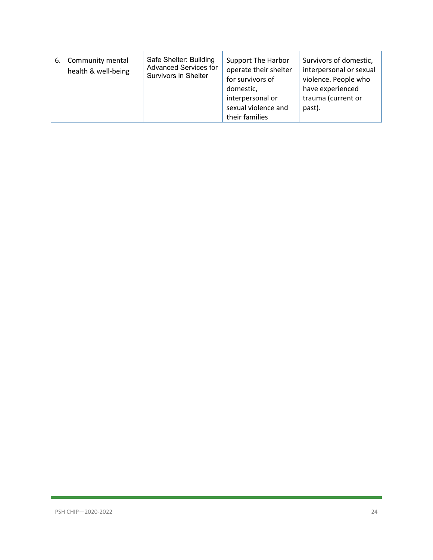| Community mental<br>6.<br>health & well-being | Safe Shelter: Building<br><b>Advanced Services for</b><br>Survivors in Shelter | Support The Harbor<br>operate their shelter<br>for survivors of<br>domestic,<br>interpersonal or<br>sexual violence and<br>their families | Survivors of domestic,<br>interpersonal or sexual<br>violence. People who<br>have experienced<br>trauma (current or<br>past). |
|-----------------------------------------------|--------------------------------------------------------------------------------|-------------------------------------------------------------------------------------------------------------------------------------------|-------------------------------------------------------------------------------------------------------------------------------|
|-----------------------------------------------|--------------------------------------------------------------------------------|-------------------------------------------------------------------------------------------------------------------------------------------|-------------------------------------------------------------------------------------------------------------------------------|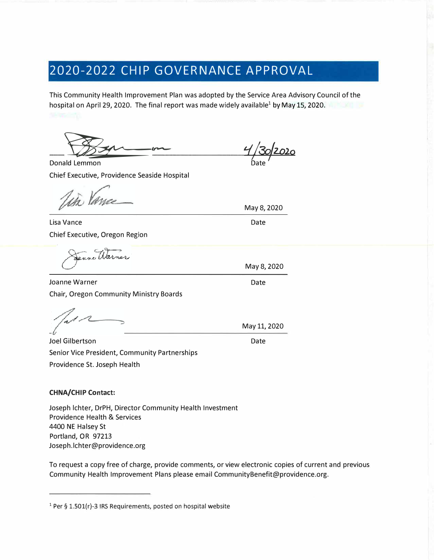# **2020-2022 CHIP GOVERNANCE APPROVAL**

This Community Health Improvement Plan was adopted by the Service Area Advisory Council of the hospital on April 29, 2020. The final report was made widely available<sup>1</sup> by May 15, 2020.

Ben

*L/j&;jz.oio*  Date

Donald Lemmon Chief Executive, Providence Seaside Hospital

iñ Vana

Lisa Vance Chief Executive, Oregon Region

anne Warn

Joanne Warner Chair, Oregon Community Ministry Boards

Joel Gilbertson Senior Vice President, Community Partnerships Providence St. Joseph Health

#### **CHNA/CHIP Contact:**

Joseph lchter, DrPH, Director Community Health Investment Providence Health & Services 4400 NE Halsey St Portland, OR 97213 Joseph.lchter@providence.org

To request a copy free of charge, provide comments, or view electronic copies of current and previous Community Health Improvement Plans please email CommunityBenefit@providence.org.

Date May 8, 2020

May 8, 2020

Date

May 11, 2020

Date

 $1$  Per § 1.501(r)-3 IRS Requirements, posted on hospital website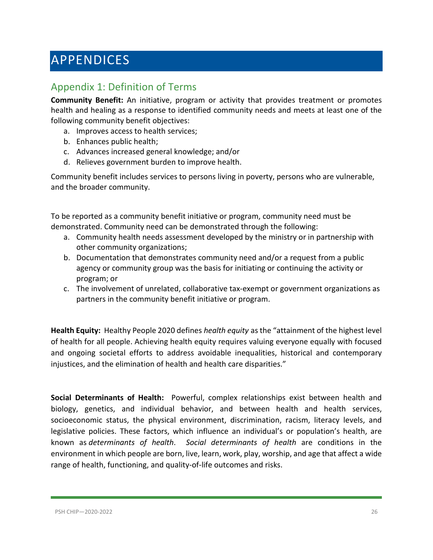# <span id="page-25-0"></span>APPENDICES

## <span id="page-25-1"></span>Appendix 1: Definition of Terms

**Community Benefit:** An initiative, program or activity that provides treatment or promotes health and healing as a response to identified community needs and meets at least one of the following community benefit objectives:

- a. Improves access to health services;
- b. Enhances public health;
- c. Advances increased general knowledge; and/or
- d. Relieves government burden to improve health.

Community benefit includes services to persons living in poverty, persons who are vulnerable, and the broader community.

To be reported as a community benefit initiative or program, community need must be demonstrated. Community need can be demonstrated through the following:

- a. Community health needs assessment developed by the ministry or in partnership with other community organizations;
- b. Documentation that demonstrates community need and/or a request from a public agency or community group was the basis for initiating or continuing the activity or program; or
- c. The involvement of unrelated, collaborative tax-exempt or government organizations as partners in the community benefit initiative or program.

**Health Equity:** Healthy People 2020 defines *health equity* as the "attainment of the highest level of health for all people. Achieving health equity requires valuing everyone equally with focused and ongoing societal efforts to address avoidable inequalities, historical and contemporary injustices, and the elimination of health and health care disparities."

**Social Determinants of Health:** Powerful, complex relationships exist between health and biology, genetics, and individual behavior, and between health and health services, socioeconomic status, the physical environment, discrimination, racism, literacy levels, and legislative policies. These factors, which influence an individual's or population's health, are known as *determinants of health*. *Social determinants of health* are conditions in the environment in which people are born, live, learn, work, play, worship, and age that affect a wide range of health, functioning, and quality-of-life outcomes and risks.